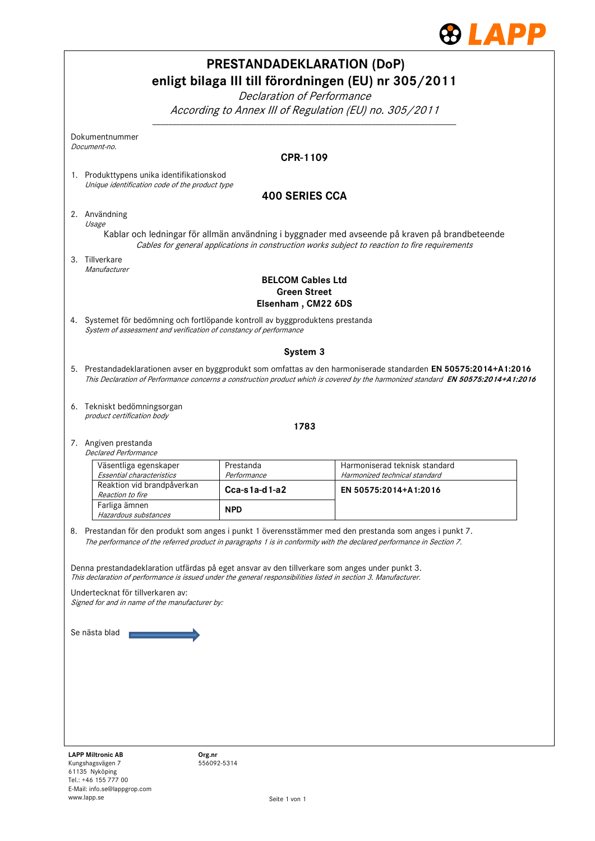

|                                                                                             | <b>PRESTANDADEKLARATION (DoP)</b><br>Declaration of Performance                                                                                                                                                   | enligt bilaga III till förordningen (EU) nr 305/2011                                                                                                                                                                                                   |  |  |
|---------------------------------------------------------------------------------------------|-------------------------------------------------------------------------------------------------------------------------------------------------------------------------------------------------------------------|--------------------------------------------------------------------------------------------------------------------------------------------------------------------------------------------------------------------------------------------------------|--|--|
|                                                                                             |                                                                                                                                                                                                                   | According to Annex III of Regulation (EU) no. 305/2011                                                                                                                                                                                                 |  |  |
| Dokumentnummer<br>Document-no.                                                              |                                                                                                                                                                                                                   |                                                                                                                                                                                                                                                        |  |  |
|                                                                                             | <b>CPR-1109</b>                                                                                                                                                                                                   |                                                                                                                                                                                                                                                        |  |  |
| 1. Produkttypens unika identifikationskod<br>Unique identification code of the product type |                                                                                                                                                                                                                   |                                                                                                                                                                                                                                                        |  |  |
|                                                                                             | <b>400 SERIES CCA</b>                                                                                                                                                                                             |                                                                                                                                                                                                                                                        |  |  |
| 2. Användning<br>Usage                                                                      |                                                                                                                                                                                                                   |                                                                                                                                                                                                                                                        |  |  |
|                                                                                             |                                                                                                                                                                                                                   | Kablar och ledningar för allmän användning i byggnader med avseende på kraven på brandbeteende<br>Cables for general applications in construction works subject to reaction to fire requirements                                                       |  |  |
| 3. Tillverkare<br>Manufacturer                                                              |                                                                                                                                                                                                                   |                                                                                                                                                                                                                                                        |  |  |
|                                                                                             | <b>BELCOM Cables Ltd</b><br><b>Green Street</b><br>Elsenham, CM22 6DS                                                                                                                                             |                                                                                                                                                                                                                                                        |  |  |
|                                                                                             | 4. Systemet för bedömning och fortlöpande kontroll av byggproduktens prestanda<br>System of assessment and verification of constancy of performance                                                               |                                                                                                                                                                                                                                                        |  |  |
|                                                                                             | System 3                                                                                                                                                                                                          |                                                                                                                                                                                                                                                        |  |  |
|                                                                                             |                                                                                                                                                                                                                   | 5. Prestandadeklarationen avser en byggprodukt som omfattas av den harmoniserade standarden EN 50575:2014+A1:2016<br>This Declaration of Performance concerns a construction product which is covered by the harmonized standard EN 50575:2014+A1:2016 |  |  |
| 6. Tekniskt bedömningsorgan<br>product certification body                                   |                                                                                                                                                                                                                   |                                                                                                                                                                                                                                                        |  |  |
| 1783                                                                                        |                                                                                                                                                                                                                   |                                                                                                                                                                                                                                                        |  |  |
| 7. Angiven prestanda<br><b>Declared Performance</b>                                         |                                                                                                                                                                                                                   |                                                                                                                                                                                                                                                        |  |  |
| Väsentliga egenskaper<br>Essential characteristics                                          | Prestanda<br>Performance                                                                                                                                                                                          | Harmoniserad teknisk standard<br>Harmonized technical standard                                                                                                                                                                                         |  |  |
| Reaktion vid brandpåverkan<br>Reaction to fire                                              | $Cca-s1a-d1-a2$                                                                                                                                                                                                   | EN 50575:2014+A1:2016                                                                                                                                                                                                                                  |  |  |
| Farliga ämnen<br>Hazardous substances                                                       | <b>NPD</b>                                                                                                                                                                                                        |                                                                                                                                                                                                                                                        |  |  |
|                                                                                             |                                                                                                                                                                                                                   | 8. Prestandan för den produkt som anges i punkt 1 överensstämmer med den prestanda som anges i punkt 7.<br>The performance of the referred product in paragraphs 1 is in conformity with the declared performance in Section 7.                        |  |  |
|                                                                                             | Denna prestandadeklaration utfärdas på eget ansvar av den tillverkare som anges under punkt 3.<br>This declaration of performance is issued under the general responsibilities listed in section 3. Manufacturer. |                                                                                                                                                                                                                                                        |  |  |
| Undertecknat för tillverkaren av:<br>Signed for and in name of the manufacturer by:         |                                                                                                                                                                                                                   |                                                                                                                                                                                                                                                        |  |  |
| Se nästa blad                                                                               |                                                                                                                                                                                                                   |                                                                                                                                                                                                                                                        |  |  |
|                                                                                             |                                                                                                                                                                                                                   |                                                                                                                                                                                                                                                        |  |  |
|                                                                                             |                                                                                                                                                                                                                   |                                                                                                                                                                                                                                                        |  |  |
|                                                                                             |                                                                                                                                                                                                                   |                                                                                                                                                                                                                                                        |  |  |
|                                                                                             |                                                                                                                                                                                                                   |                                                                                                                                                                                                                                                        |  |  |
|                                                                                             |                                                                                                                                                                                                                   |                                                                                                                                                                                                                                                        |  |  |
|                                                                                             |                                                                                                                                                                                                                   |                                                                                                                                                                                                                                                        |  |  |
| <b>LAPP Miltronic AB</b><br>Kungshagsvägen 7                                                | Org.nr<br>556092-5314                                                                                                                                                                                             |                                                                                                                                                                                                                                                        |  |  |